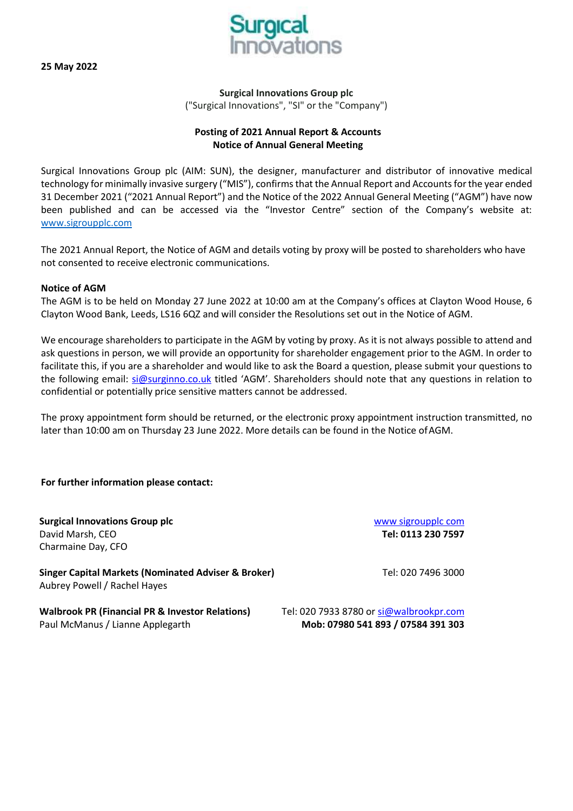**25 May 2022**



**Surgical Innovations Group plc** ("Surgical Innovations", "SI" or the "Company")

# **Posting of 2021 Annual Report & Accounts Notice of Annual General Meeting**

Surgical Innovations Group plc (AIM: SUN), the designer, manufacturer and distributor of innovative medical technology for minimally invasive surgery ("MIS"), confirmsthat the Annual Report and Accountsforthe year ended 31 December 2021 ("2021 Annual Report") and the Notice of the 2022 Annual General Meeting ("AGM") have now been published and can be accessed via the "Investor Centre" section of the Company's website at: [www.sigroupplc.com](http://www.sigroupplc.com/)

The 2021 Annual Report, the Notice of AGM and details voting by proxy will be posted to shareholders who have not consented to receive electronic communications.

## **Notice of AGM**

The AGM is to be held on Monday 27 June 2022 at 10:00 am at the Company's offices at Clayton Wood House, 6 Clayton Wood Bank, Leeds, LS16 6QZ and will consider the Resolutions set out in the Notice of AGM.

We encourage shareholders to participate in the AGM by voting by proxy. As it is not always possible to attend and ask questions in person, we will provide an opportunity for shareholder engagement prior to the AGM. In order to facilitate this, if you are a shareholder and would like to ask the Board a question, please submit your questions to the following email: [si@surginno.co.uk](mailto:si@surginno.co.uk) titled 'AGM'. Shareholders should note that any questions in relation to confidential or potentially price sensitive matters cannot be addressed.

The proxy appointment form should be returned, or the electronic proxy appointment instruction transmitted, no later than 10:00 am on Thursday 23 June 2022. More details can be found in the Notice ofAGM.

## **For further information please contact:**

**Surgical Innovations Group plc Surgical Innovations Group plc [www sigroupplc com](http://www.sigroupplc.com/)** David Marsh, CEO **Tel: 0113 230 7597** Charmaine Day, CFO

**Singer Capital Markets (Nominated Adviser & Broker)** Tel: 020 7496 3000 Aubrey Powell / Rachel Hayes

**Walbrook PR (Financial PR & Investor Relations)** Tel: 020 7933 8780 or [si@walbrookpr.com](mailto:si@walbrookpr.com) Paul McManus / Lianne Applegarth **Mob: 07980 541 893 / 07584 391 303**